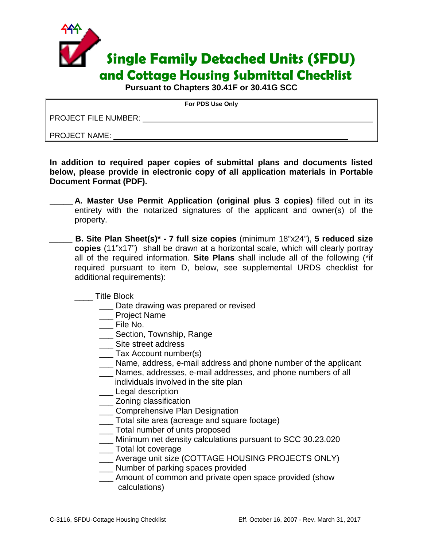

**Pursuant to Chapters 30.41F or 30.41G SCC**

**For PDS Use Only**

PROJECT FILE NUMBER:

PROJECT NAME:

**In addition to required paper copies of submittal plans and documents listed below, please provide in electronic copy of all application materials in Portable Document Format (PDF).** 

- **\_\_\_\_\_ A. Master Use Permit Application (original plus 3 copies)** filled out in its entirety with the notarized signatures of the applicant and owner(s) of the property.
- **\_\_\_\_\_ B. Site Plan Sheet(s)\* - 7 full size copies** (minimum 18"x24"), **5 reduced size copies** (11"x17") shall be drawn at a horizontal scale, which will clearly portray all of the required information. **Site Plans** shall include all of the following (\*if required pursuant to item D, below, see supplemental URDS checklist for additional requirements):

\_\_\_\_ Title Block

- **\_\_\_** Date drawing was prepared or revised
- \_\_\_ Project Name
- \_\_\_ File No.
- \_\_\_ Section, Township, Range
- Site street address
- \_\_\_ Tax Account number(s)
- \_\_\_ Name, address, e-mail address and phone number of the applicant
- \_\_\_ Names, addresses, e-mail addresses, and phone numbers of all individuals involved in the site plan
- \_\_\_ Legal description
- \_\_\_ Zoning classification
- \_\_\_ Comprehensive Plan Designation
- \_\_\_ Total site area (acreage and square footage)
- \_\_\_ Total number of units proposed
- \_\_\_ Minimum net density calculations pursuant to SCC 30.23.020
- \_\_\_ Total lot coverage
- \_\_\_ Average unit size (COTTAGE HOUSING PROJECTS ONLY)
- \_\_\_ Number of parking spaces provided
- \_\_\_ Amount of common and private open space provided (show calculations)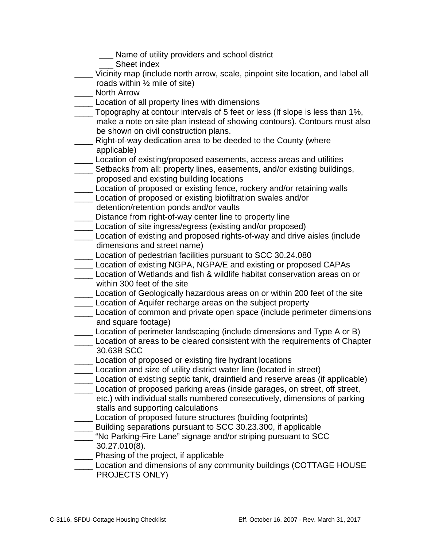- \_\_\_ Name of utility providers and school district
- \_\_\_ Sheet index
- \_\_\_\_ Vicinity map (include north arrow, scale, pinpoint site location, and label all roads within ½ mile of site)
- \_\_\_\_ North Arrow
- **LACCOLOGED** Location of all property lines with dimensions
- \_\_\_\_ Topography at contour intervals of 5 feet or less (If slope is less than 1%, make a note on site plan instead of showing contours). Contours must also be shown on civil construction plans.
- \_\_\_\_ Right-of-way dedication area to be deeded to the County (where applicable)
- \_\_\_\_ Location of existing/proposed easements, access areas and utilities
- \_\_\_\_ Setbacks from all: property lines, easements, and/or existing buildings, proposed and existing building locations
- \_\_\_\_ Location of proposed or existing fence, rockery and/or retaining walls
- \_\_\_\_ Location of proposed or existing biofiltration swales and/or detention/retention ponds and/or vaults
- \_\_\_\_ Distance from right-of-way center line to property line
- \_\_\_\_ Location of site ingress/egress (existing and/or proposed)
- \_\_\_\_ Location of existing and proposed rights-of-way and drive aisles (include dimensions and street name)
- \_\_\_\_ Location of pedestrian facilities pursuant to SCC 30.24.080
- **Location of existing NGPA, NGPA/E and existing or proposed CAPAs**
- Location of Wetlands and fish & wildlife habitat conservation areas on or within 300 feet of the site
- \_\_\_\_ Location of Geologically hazardous areas on or within 200 feet of the site
- **Location of Aquifer recharge areas on the subject property**
- \_\_\_\_ Location of common and private open space (include perimeter dimensions and square footage)
- Location of perimeter landscaping (include dimensions and Type A or B)
- **Location of areas to be cleared consistent with the requirements of Chapter** 30.63B SCC
- \_\_\_\_ Location of proposed or existing fire hydrant locations
- Location and size of utility district water line (located in street)
- \_\_\_\_ Location of existing septic tank, drainfield and reserve areas (if applicable)
- \_\_\_\_ Location of proposed parking areas (inside garages, on street, off street, etc.) with individual stalls numbered consecutively, dimensions of parking stalls and supporting calculations
- \_\_\_\_ Location of proposed future structures (building footprints)
- \_\_\_\_ Building separations pursuant to SCC 30.23.300, if applicable
- \_\_\_\_ "No Parking-Fire Lane" signage and/or striping pursuant to SCC 30.27.010(8).
- **\_\_\_\_** Phasing of the project, if applicable
- Location and dimensions of any community buildings (COTTAGE HOUSE PROJECTS ONLY)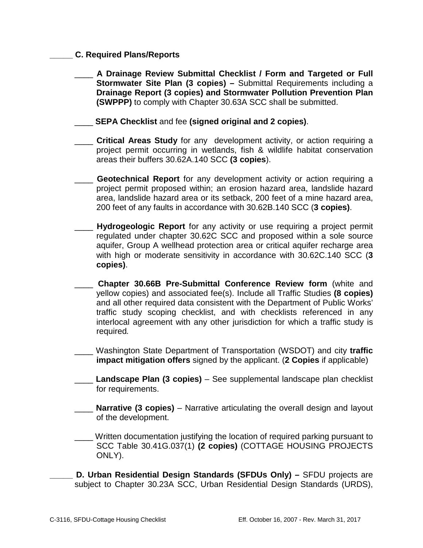## **\_\_\_\_\_ C. Required Plans/Reports**

- \_\_\_\_ **A Drainage Review Submittal Checklist / Form and Targeted or Full Stormwater Site Plan (3 copies) –** Submittal Requirements including a **Drainage Report (3 copies) and Stormwater Pollution Prevention Plan (SWPPP)** to comply with Chapter 30.63A SCC shall be submitted.
- \_\_\_\_ **SEPA Checklist** and fee **(signed original and 2 copies)**.
- \_\_\_\_ **Critical Areas Study** for any development activity, or action requiring a project permit occurring in wetlands, fish & wildlife habitat conservation areas their buffers 30.62A.140 SCC **(3 copies**).
- **Geotechnical Report** for any development activity or action requiring a project permit proposed within; an erosion hazard area, landslide hazard area, landslide hazard area or its setback, 200 feet of a mine hazard area, 200 feet of any faults in accordance with 30.62B.140 SCC (**3 copies)**.
- \_\_\_\_ **Hydrogeologic Report** for any activity or use requiring a project permit regulated under chapter 30.62C SCC and proposed within a sole source aquifer, Group A wellhead protection area or critical aquifer recharge area with high or moderate sensitivity in accordance with 30.62C.140 SCC (**3 copies)**.
- \_\_\_\_ **Chapter 30.66B Pre-Submittal Conference Review form** (white and yellow copies) and associated fee(s). Include all Traffic Studies **(8 copies)**  and all other required data consistent with the Department of Public Works' traffic study scoping checklist, and with checklists referenced in any interlocal agreement with any other jurisdiction for which a traffic study is required*.* 
	- \_\_\_\_ Washington State Department of Transportation (WSDOT) and city **traffic impact mitigation offers** signed by the applicant. (**2 Copies** if applicable)
- \_\_\_\_ **Landscape Plan (3 copies)** See supplemental landscape plan checklist for requirements.
- **Narrative (3 copies)** Narrative articulating the overall design and layout of the development.
- Written documentation justifying the location of required parking pursuant to SCC Table 30.41G.037(1) **(2 copies)** (COTTAGE HOUSING PROJECTS ONLY).
- **\_\_\_\_\_ D. Urban Residential Design Standards (SFDUs Only) –** SFDU projects are subject to Chapter 30.23A SCC, Urban Residential Design Standards (URDS),